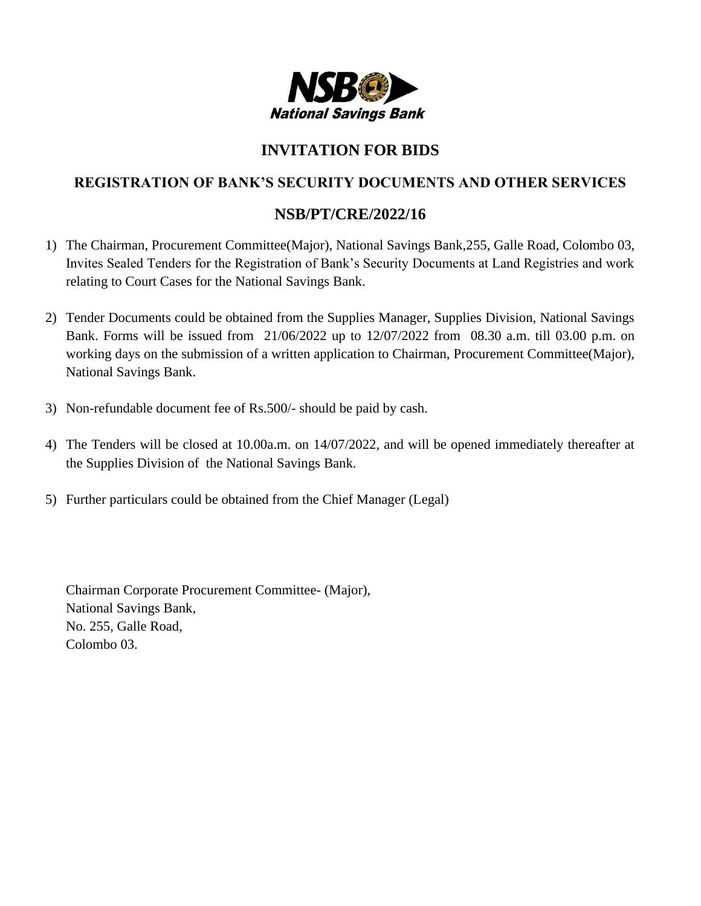

## **INVITATION FOR BIDS**

## **REGISTRATION OF BANK'S SECURITY DOCUMENTS AND OTHER SERVICES**

## **NSB/PT/CRE/2022/16**

- 1) The Chairman, Procurement Committee(Major), National Savings Bank,255, Galle Road, Colombo 03, Invites Sealed Tenders for the Registration of Bank's Security Documents at Land Registries and work relating to Court Cases for the National Savings Bank.
- 2) Tender Documents could be obtained from the Supplies Manager, Supplies Division, National Savings Bank. Forms will be issued from 21/06/2022 up to 12/07/2022 from 08.30 a.m. till 03.00 p.m. on working days on the submission of a written application to Chairman, Procurement Committee(Major), National Savings Bank.
- 3) Non-refundable document fee of Rs.500/- should be paid by cash.
- 4) The Tenders will be closed at 10.00a.m. on 14/07/2022, and will be opened immediately thereafter at the Supplies Division of the National Savings Bank.
- 5) Further particulars could be obtained from the Chief Manager (Legal)

Chairman Corporate Procurement Committee- (Major), National Savings Bank, No. 255, Galle Road, Colombo 03.